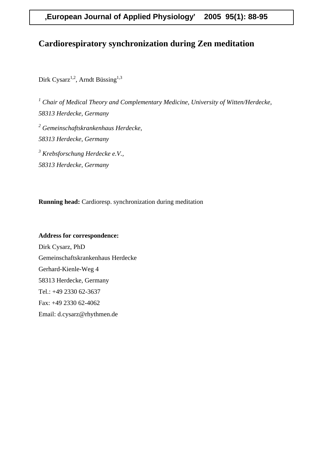# **Cardiorespiratory synchronization during Zen meditation**

Dirk Cysarz<sup>1,2</sup>, Arndt Büssing<sup>1,3</sup>

<sup>1</sup> Chair of Medical Theory and Complementary Medicine, University of Witten/Herdecke, *58313 Herdecke, Germany 2 Gemeinschaftskrankenhaus Herdecke, 58313 Herdecke, Germany 3 Krebsforschung Herdecke e.V., 58313 Herdecke, Germany*

**Running head:** Cardioresp. synchronization during meditation

# **Address for correspondence:** Dirk Cysarz, PhD Gemeinschaftskrankenhaus Herdecke Gerhard-Kienle-Weg 4 58313 Herdecke, Germany Tel.: +49 2330 62-3637 Fax: +49 2330 62-4062 Email: d.cysarz@rhythmen.de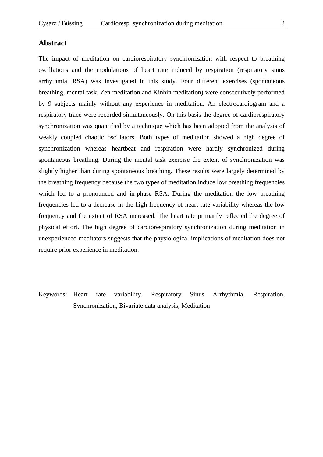## **Abstract**

The impact of meditation on cardiorespiratory synchronization with respect to breathing oscillations and the modulations of heart rate induced by respiration (respiratory sinus arrhythmia, RSA) was investigated in this study. Four different exercises (spontaneous breathing, mental task, Zen meditation and Kinhin meditation) were consecutively performed by 9 subjects mainly without any experience in meditation. An electrocardiogram and a respiratory trace were recorded simultaneously. On this basis the degree of cardiorespiratory synchronization was quantified by a technique which has been adopted from the analysis of weakly coupled chaotic oscillators. Both types of meditation showed a high degree of synchronization whereas heartbeat and respiration were hardly synchronized during spontaneous breathing. During the mental task exercise the extent of synchronization was slightly higher than during spontaneous breathing. These results were largely determined by the breathing frequency because the two types of meditation induce low breathing frequencies which led to a pronounced and in-phase RSA. During the meditation the low breathing frequencies led to a decrease in the high frequency of heart rate variability whereas the low frequency and the extent of RSA increased. The heart rate primarily reflected the degree of physical effort. The high degree of cardiorespiratory synchronization during meditation in unexperienced meditators suggests that the physiological implications of meditation does not require prior experience in meditation.

Keywords: Heart rate variability, Respiratory Sinus Arrhythmia, Respiration, Synchronization, Bivariate data analysis, Meditation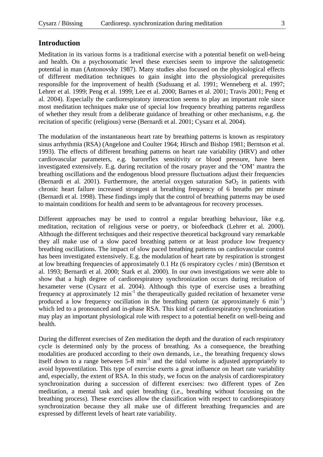## **Introduction**

Meditation in its various forms is a traditional exercise with a potential benefit on well-being and health. On a psychosomatic level these exercises seem to improve the salutogenetic potential in man (Antonovsky 1987). Many studies also focused on the physiological effects of different meditation techniques to gain insight into the physiological prerequisites responsible for the improvement of health (Sudsuang et al. 1991; Wenneberg et al. 1997; Lehrer et al. 1999; Peng et al. 1999; Lee et al. 2000; Barnes et al. 2001; Travis 2001; Peng et al. 2004). Especially the cardiorespiratory interaction seems to play an important role since most meditation techniques make use of special low frequency breathing patterns regardless of whether they result from a deliberate guidance of breathing or other mechanisms, e.g. the recitation of specific (religious) verse (Bernardi et al. 2001; Cysarz et al. 2004).

The modulation of the instantaneous heart rate by breathing patterns is known as respiratory sinus arrhythmia (RSA) (Angelone and Coulter 1964; Hirsch and Bishop 1981; Berntson et al. 1993). The effects of different breathing patterns on heart rate variability (HRV) and other cardiovascular parameters, e.g. baroreflex sensitivity or blood pressure, have been investigated extensively. E.g. during recitation of the rosary prayer and the 'OM' mantra the breathing oscillations and the endogenous blood pressure fluctuations adjust their frequencies (Bernardi et al. 2001). Furthermore, the arterial oxygen saturation  $SaO<sub>2</sub>$  in patients with chronic heart failure increased strongest at breathing frequency of 6 breaths per minute (Bernardi et al. 1998). These findings imply that the control of breathing patterns may be used to maintain conditions for health and seem to be advantageous for recovery processes.

Different approaches may be used to control a regular breathing behaviour, like e.g. meditation, recitation of religious verse or poetry, or biofeedback (Lehrer et al. 2000). Although the different techniques and their respective theoretical background vary remarkable they all make use of a slow paced breathing pattern or at least produce low frequency breathing oscillations. The impact of slow paced breathing patterns on cardiovascular control has been investigated extensively. E.g. the modulation of heart rate by respiration is strongest at low breathing frequencies of approximately 0.1 Hz (6 respiratory cycles / min) (Berntson et al. 1993; Bernardi et al. 2000; Stark et al. 2000). In our own investigations we were able to show that a high degree of cardiorespiratory synchronization occurs during recitation of hexameter verse (Cysarz et al. 2004). Although this type of exercise uses a breathing frequency at approximately 12 min<sup>-1</sup> the therapeutically guided recitation of hexameter verse produced a low frequency oscillation in the breathing pattern (at approximately 6  $min^{-1}$ ) which led to a pronounced and in-phase RSA. This kind of cardiorespiratory synchronization may play an important physiological role with respect to a potential benefit on well-being and health.

During the different exercises of Zen meditation the depth and the duration of each respiratory cycle is determined only by the process of breathing. As a consequence, the breathing modalities are produced according to their own demands, i.e., the breathing frequency slows itself down to a range between  $5-8$  min<sup>-1</sup> and the tidal volume is adjusted appropriately to avoid hypoventilation. This type of exercise exerts a great influence on heart rate variability and, especially, the extent of RSA. In this study, we focus on the analysis of cardiorespiratory synchronization during a succession of different exercises: two different types of Zen meditation, a mental task and quiet breathing (i.e., breathing without focussing on the breathing process). These exercises allow the classification with respect to cardiorespiratory synchronization because they all make use of different breathing frequencies and are expressed by different levels of heart rate variability.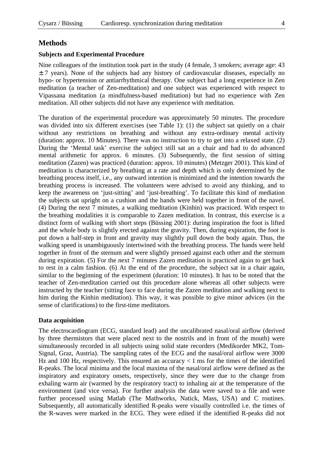## **Methods**

## **Subjects and Experimental Procedure**

Nine colleagues of the institution took part in the study (4 female, 3 smokers; average age: 43  $\pm$  7 years). None of the subjects had any history of cardiovascular diseases, especially no hypo- or hypertension or antiarrhythmical therapy. One subject had a long experience in Zen meditation (a teacher of Zen-meditation) and one subject was experienced with respect to Vipassana meditation (a mindfulness-based meditation) but had no experience with Zen meditation. All other subjects did not have any experience with meditation.

The duration of the experimental procedure was approximately 50 minutes. The procedure was divided into six different exercises (see Table 1): (1) the subject sat quietly on a chair without any restrictions on breathing and without any extra-ordinary mental activity (duration: approx. 10 Minutes). There was no instruction to try to get into a relaxed state. (2) During the 'Mental task' exercise the subject still sat an a chair and had to do advanced mental arithmetic for approx. 6 minutes. (3) Subsequently, the first session of sitting meditation (Zazen) was practiced (duration: approx. 10 minutes) (Metzger 2001). This kind of meditation is characterized by breathing at a rate and depth which is only determined by the breathing process itself, i.e., any outward intention is minimized and the intention towards the breathing process is increased. The volunteers were advised to avoid any thinking, and to keep the awareness on 'just-sitting' and 'just-breathing'. To facilitate this kind of mediation the subjects sat upright on a cushion and the hands were held together in front of the navel. (4) During the next 7 minutes, a walking meditation (Kinhin) was practiced. With respect to the breathing modalities it is comparable to Zazen meditation. In contrast, this exercise is a distinct form of walking with short steps (Büssing 2001): during inspiration the foot is lifted and the whole body is slightly erected against the gravity. Then, during expiration, the foot is put down a half-step in front and gravity may slightly pull down the body again. Thus, the walking speed is unambiguously intertwined with the breathing process. The hands were held together in front of the sternum and were slightly pressed against each other and the sternum during expiration. (5) For the next 7 minutes Zazen meditation is practiced again to get back to rest in a calm fashion. (6) At the end of the procedure, the subject sat in a chair again, similar to the beginning of the experiment (duration: 10 minutes). It has to be noted that the teacher of Zen-meditation carried out this procedure alone whereas all other subjects were instructed by the teacher (sitting face to face during the Zazen meditation and walking next to him during the Kinhin meditation). This way, it was possible to give minor advices (in the sense of clarifications) to the first-time meditators.

## **Data acquisition**

The electrocardiogram (ECG, standard lead) and the uncalibrated nasal/oral airflow (derived by three thermistors that were placed next to the nostrils and in front of the mouth) were simultaneously recorded in all subjects using solid state recorders (Medikorder MK2, Tom-Signal, Graz, Austria). The sampling rates of the ECG and the nasal/oral airflow were 3000 Hz and 100 Hz, respectively. This ensured an accuracy  $< 1$  ms for the times of the identified R-peaks. The local minima and the local maxima of the nasal/oral airflow were defined as the inspiratory and expiratory onsets, respectively, since they were due to the change from exhaling warm air (warmed by the respiratory tract) to inhaling air at the temperature of the environment (and vice versa). For further analysis the data were saved to a file and were further processed using Matlab (The Mathworks, Natick, Mass, USA) and C routines. Subsequently, all automatically identified R-peaks were visually controlled i.e. the times of the R-waves were marked in the ECG. They were edited if the identified R-peaks did not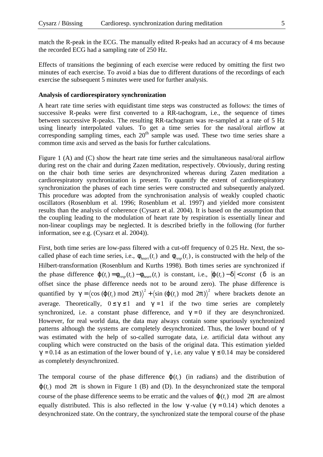match the R-peak in the ECG. The manually edited R-peaks had an accuracy of 4 ms because the recorded ECG had a sampling rate of 250 Hz.

Effects of transitions the beginning of each exercise were reduced by omitting the first two minutes of each exercise. To avoid a bias due to different durations of the recordings of each exercise the subsequent 5 minutes were used for further analysis.

#### **Analysis of cardiorespiratory synchronization**

A heart rate time series with equidistant time steps was constructed as follows: the times of successive R-peaks were first converted to a RR-tachogram, i.e., the sequence of times between successive R-peaks. The resulting RR-tachogram was re-sampled at a rate of 5 Hz using linearly interpolated values. To get a time series for the nasal/oral airflow at corresponding sampling times, each  $20<sup>th</sup>$  sample was used. These two time series share a common time axis and served as the basis for further calculations.

Figure 1 (A) and (C) show the heart rate time series and the simultaneous nasal/oral airflow during rest on the chair and during Zazen meditation, respectively. Obviously, during resting on the chair both time series are desynchronized whereas during Zazen meditation a cardiorespiratory synchronization is present. To quantify the extent of cardiorespiratory synchronization the phases of each time series were constructed and subsequently analyzed. This procedure was adopted from the synchronisation analysis of weakly coupled chaotic oscillators (Rosenblum et al. 1996; Rosenblum et al. 1997) and yielded more consistent results than the analysis of coherence (Cysarz et al. 2004). It is based on the assumption that the coupling leading to the modulation of heart rate by respiration is essentially linear and non-linear couplings may be neglected. It is described briefly in the following (for further information, see e.g. (Cysarz et al. 2004)).

First, both time series are low-pass filtered with a cut-off frequency of 0.25 Hz. Next, the socalled phase of each time series, i.e.,  $f_{\text{heart}}(t_i)$  and  $f_{\text{resp}}(t_i)$ , is constructed with the help of the Hilbert-transformation (Rosenblum and Kurths 1998). Both times series are synchronized if the phase difference  $\mathbf{j}(t_i) = \mathbf{f}_{\text{resp}}(t_i) - \mathbf{f}_{\text{heart}}(t_i)$  is constant, i.e.,  $|\mathbf{j}(t_i) - \mathbf{d}| < const$  (d is an offset since the phase difference needs not to be around zero). The phase difference is quantified by  $g = (\cos(j(t_i) \mod 2p))^2 + (\sin(j(t_i) \mod 2p))^2$  where brackets denote an average. Theoretically,  $0 \le g \le 1$  and  $g = 1$  if the two time series are completely synchronized, i.e. a constant phase difference, and  $g = 0$  if they are desynchronized. However, for real world data, the data may always contain some spuriously synchronized patterns although the systems are completely desynchronized. Thus, the lower bound of *g* was estimated with the help of so-called surrogate data, i.e. artificial data without any coupling which were constructed on the basis of the original data. This estimation yielded  $g = 0.14$  as an estimation of the lower bound of *g*, i.e. any value  $g \le 0.14$  may be considered as completely desynchronized.

The temporal course of the phase difference  $\mathbf{j}(t_i)$  (in radians) and the distribution of  $j(t_i)$  mod 2p is shown in Figure 1 (B) and (D). In the desynchronized state the temporal course of the phase difference seems to be erratic and the values of  $j(t_i)$  mod  $2p$  are almost equally distributed. This is also reflected in the low  $g$ -value ( $g = 0.14$ ) which denotes a desynchronized state. On the contrary, the synchronized state the temporal course of the phase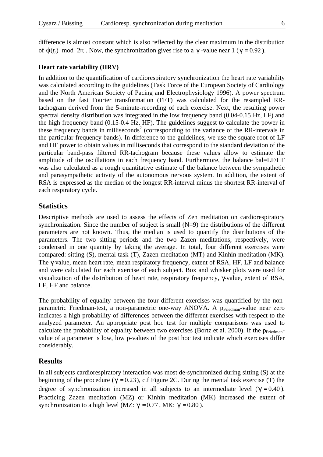difference is almost constant which is also reflected by the clear maximum in the distribution of  $\boldsymbol{j}$  ( $t_i$ ) mod 2 $\boldsymbol{p}$ . Now, the synchronization gives rise to a  $\boldsymbol{g}$ -value near 1 ( $\boldsymbol{g}$  = 0.92).

#### **Heart rate variability (HRV)**

In addition to the quantification of cardiorespiratory synchronization the heart rate variability was calculated according to the guidelines (Task Force of the European Society of Cardiology and the North American Society of Pacing and Electrophysiology 1996). A power spectrum based on the fast Fourier transformation (FFT) was calculated for the resampled RRtachogram derived from the 5-minute-recording of each exercise. Next, the resulting power spectral density distribution was integrated in the low frequency band (0.04-0.15 Hz, LF) and the high frequency band (0.15-0.4 Hz, HF). The guidelines suggest to calculate the power in these frequency bands in milliseconds<sup>2</sup> (corresponding to the variance of the RR-intervals in the particular frequency bands). In difference to the guidelines, we use the square root of LF and HF power to obtain values in milliseconds that correspond to the standard deviation of the particular band-pass filtered RR-tachogram because these values allow to estimate the amplitude of the oscillations in each frequency band. Furthermore, the balance bal=LF/HF was also calculated as a rough quantitative estimate of the balance between the sympathetic and parasympathetic activity of the autonomous nervous system. In addition, the extent of RSA is expressed as the median of the longest RR-interval minus the shortest RR-interval of each respiratory cycle.

## **Statistics**

Descriptive methods are used to assess the effects of Zen meditation on cardiorespiratory synchronization. Since the number of subject is small (N=9) the distributions of the different parameters are not known. Thus, the median is used to quantify the distributions of the parameters. The two sitting periods and the two Zazen meditations, respectively, were condensed in one quantity by taking the average. In total, four different exercises were compared: sitting (S), mental task (T), Zazen meditation (MT) and Kinhin meditation (MK). The γ-value, mean heart rate, mean respiratory frequency, extent of RSA, HF, LF and balance and were calculated for each exercise of each subject. Box and whisker plots were used for visualization of the distribution of heart rate, respiratory frequency, γ-value, extent of RSA, LF, HF and balance.

The probability of equality between the four different exercises was quantified by the nonparametric Friedman-test, a non-parametric one-way ANOVA. A p<sub>Friedman</sub>-value near zero indicates a high probability of differences between the different exercises with respect to the analyzed parameter. An appropriate post hoc test for multiple comparisons was used to calculate the probability of equality between two exercises (Bortz et al. 2000). If the  $p_{\text{Friedman}}$ value of a parameter is low, low p-values of the post hoc test indicate which exercises differ considerably.

## **Results**

In all subjects cardiorespiratory interaction was most de-synchronized during sitting (S) at the beginning of the procedure ( $g = 0.23$ ), c.f Figure 2C. During the mental task exercise (T) the degree of synchronization increased in all subjects to an intermediate level  $(g = 0.40)$ . Practicing Zazen meditation (MZ) or Kinhin meditation (MK) increased the extent of synchronization to a high level (MZ:  $g = 0.77$ , MK:  $g = 0.80$ ).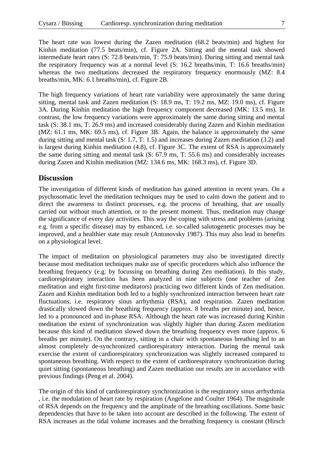The heart rate was lowest during the Zazen meditation (68.2 beats/min) and highest for Kinhin meditation (77.5 beats/min), cf. Figure 2A. Sitting and the mental task showed intermediate heart rates (S: 72.8 beats/min, T: 75.9 beats/min). During sitting and mental task the respiratory frequency was at a normal level (S: 16.2 breaths/min, T: 16.6 breaths/min) whereas the two meditations decreased the respiratory frequency enormously (MZ: 8.4 breaths/min, MK: 6.1 breaths/min), cf. Figure 2B.

The high frequency variations of heart rate variability were approximately the same during sitting, mental task and Zazen meditation (S: 18.9 ms, T: 19.2 ms, MZ: 19.0 ms), cf. Figure 3A. During Kinhin meditation the high frequency component decreased (MK: 13.5 ms). In contrast, the low frequency variations were approximately the same during sitting and mental task (S: 38.1 ms, T: 26.9 ms) and increased considerably during Zazen and Kinhin meditation (MZ: 61.1 ms, MK: 69.5 ms), cf. Figure 3B. Again, the balance is approximately the same during sitting and mental task (S: 1.7, T: 1.5) and increases during Zazen meditation (3.2) and is largest during Kinhin meditation (4.8), cf. Figure 3C. The extent of RSA is approximately the same during sitting and mental task (S: 67.9 ms, T: 55.6 ms) and considerably increases during Zazen and Kinhin meditation (MZ: 134.6 ms, MK: 168.3 ms), cf. Figure 3D.

## **Discussion**

The investigation of different kinds of meditation has gained attention in recent years. On a psychosomatic level the meditation techniques may be used to calm down the patient and to direct the awareness to distinct processes, e.g. the process of breathing, that are usually carried out without much attention, or to the present moment. Thus, meditation may change the significance of every day activities. This way the coping with stress and problems (arising e.g. from a specific disease) may by enhanced, i.e. so-called salutogenetic processes may be improved, and a healthier state may result (Antonovsky 1987). This may also lead to benefits on a physiological level.

The impact of meditation on physiological parameters may also be investigated directly because most meditation techniques make use of specific procedures which also influence the breathing frequency (e.g. by focussing on breathing during Zen meditation). In this study, cardiorespiratory interaction has been analyzed in nine subjects (one teacher of Zen meditation and eight first-time meditators) practicing two different kinds of Zen meditation. Zazen and Kinhin meditation both led to a highly synchronized interaction between heart rate fluctuations, i.e. respiratory sinus arrhythmia (RSA), and respiration. Zazen meditation drastically slowed down the breathing frequency (approx. 8 breaths per minute) and, hence, led to a pronounced and in-phase RSA. Although the heart rate was increased during Kinhin meditation the extent of synchronization was slightly higher than during Zazen meditation because this kind of meditation slowed down the breathing frequency even more (approx. 6 breaths per minute). On the contrary, sitting in a chair with spontaneous breathing led to an almost completely de-synchronized cardiorespiratory interaction. During the mental task exercise the extent of cardiorespiratory synchronization was slightly increased compared to spontaneous breathing. With respect to the extent of cardiorespiratory synchronization during quiet sitting (spontaneous breathing) and Zazen meditation our results are in accordance with previous findings (Peng et al. 2004).

The origin of this kind of cardiorespiratory synchronization is the respiratory sinus arrhythmia , i.e. the modulation of heart rate by respiration (Angelone and Coulter 1964). The magnitude of RSA depends on the frequency and the amplitude of the breathing oscillations. Some basic dependencies that have to be taken into account are described in the following. The extent of RSA increases as the tidal volume increases and the breathing frequency is constant (Hirsch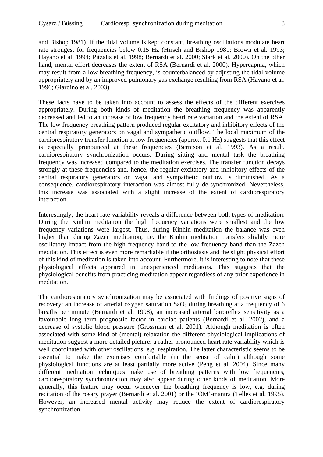and Bishop 1981). If the tidal volume is kept constant, breathing oscillations modulate heart rate strongest for frequencies below 0.15 Hz (Hirsch and Bishop 1981; Brown et al. 1993; Hayano et al. 1994; Pitzalis et al. 1998; Bernardi et al. 2000; Stark et al. 2000). On the other hand, mental effort decreases the extent of RSA (Bernardi et al. 2000). Hypercapnia, which may result from a low breathing frequency, is counterbalanced by adjusting the tidal volume appropriately and by an improved pulmonary gas exchange resulting from RSA (Hayano et al. 1996; Giardino et al. 2003).

These facts have to be taken into account to assess the effects of the different exercises appropriately. During both kinds of meditation the breathing frequency was apparently decreased and led to an increase of low frequency heart rate variation and the extent of RSA. The low frequency breathing pattern produced regular excitatory and inhibitory effects of the central respiratory generators on vagal and sympathetic outflow. The local maximum of the cardiorespiratory transfer function at low frequencies (approx. 0.1 Hz) suggests that this effect is especially pronounced at these frequencies (Berntson et al. 1993). As a result, cardiorespiratory synchronization occurs. During sitting and mental task the breathing frequency was increased compared to the meditation exercises. The transfer function decays strongly at these frequencies and, hence, the regular excitatory and inhibitory effects of the central respiratory generators on vagal and sympathetic outflow is diminished. As a consequence, cardiorespiratory interaction was almost fully de-synchronized. Nevertheless, this increase was associated with a slight increase of the extent of cardiorespiratory interaction.

Interestingly, the heart rate variability reveals a difference between both types of meditation. During the Kinhin meditation the high frequency variations were smallest and the low frequency variations were largest. Thus, during Kinhin meditation the balance was even higher than during Zazen meditation, i.e. the Kinhin meditation transfers slightly more oscillatory impact from the high frequency band to the low frequency band than the Zazen meditation. This effect is even more remarkable if the orthostasis and the slight physical effort of this kind of meditation is taken into account. Furthermore, it is interesting to note that these physiological effects appeared in unexperienced meditators. This suggests that the physiological benefits from practicing meditation appear regardless of any prior experience in meditation.

The cardiorespiratory synchronization may be associated with findings of positive signs of recovery: an increase of arterial oxygen saturation  $SaO<sub>2</sub>$  during breathing at a frequency of 6 breaths per minute (Bernardi et al. 1998), an increased arterial baroreflex sensitivity as a favourable long term prognostic factor in cardiac patients (Bernardi et al. 2002), and a decrease of systolic blood pressure (Grossman et al. 2001). Although meditation is often associated with some kind of (mental) relaxation the different physiological implications of meditation suggest a more detailed picture: a rather pronounced heart rate variability which is well coordinated with other oscillations, e.g. respiration. The latter characteristic seems to be essential to make the exercises comfortable (in the sense of calm) although some physiological functions are at least partially more active (Peng et al. 2004). Since many different meditation techniques make use of breathing patterns with low frequencies, cardiorespiratory synchronization may also appear during other kinds of meditation. More generally, this feature may occur whenever the breathing frequency is low, e.g. during recitation of the rosary prayer (Bernardi et al. 2001) or the 'OM'-mantra (Telles et al. 1995). However, an increased mental activity may reduce the extent of cardiorespiratory synchronization.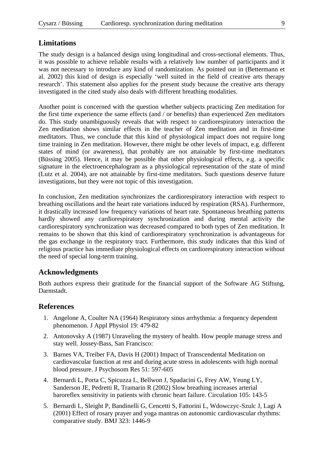## **Limitations**

The study design is a balanced design using longitudinal and cross-sectional elements. Thus, it was possible to achieve reliable results with a relatively low number of participants and it was not necessary to introduce any kind of randomization. As pointed out in (Bettermann et al. 2002) this kind of design is especially 'well suited in the field of creative arts therapy research'. This statement also applies for the present study because the creative arts therapy investigated in the cited study also deals with different breathing modalities.

Another point is concerned with the question whether subjects practicing Zen meditation for the first time experience the same effects (and / or benefits) than experienced Zen meditators do. This study unambiguously reveals that with respect to cardiorespiratory interaction the Zen meditation shows similar effects in the teacher of Zen meditation and in first-time meditators. Thus, we conclude that this kind of physiological impact does not require long time training in Zen meditation. However, there might be other levels of impact, e.g. different states of mind (or awareness), that probably are not attainable by first-time meditators (Büssing 2005). Hence, it may be possible that other physiological effects, e.g. a specific signature in the electroencephalogram as a physiological representation of the state of mind (Lutz et al. 2004), are not attainable by first-time meditators. Such questions deserve future investigations, but they were not topic of this investigation.

In conclusion, Zen meditation synchronizes the cardiorespiratory interaction with respect to breathing oscillations and the heart rate variations induced by respiration (RSA). Furthermore, it drastically increased low frequency variations of heart rate. Spontaneous breathing patterns hardly showed any cardiorespiratory synchronization and during mental activity the cardiorespiratory synchronization was decreased compared to both types of Zen meditation. It remains to be shown that this kind of cardiorespiratory synchronization is advantageous for the gas exchange in the respiratory tract. Furthermore, this study indicates that this kind of religious practice has immediate physiological effects on cardiorespiratory interaction without the need of special long-term training.

## **Acknowledgments**

Both authors express their gratitude for the financial support of the Software AG Stiftung, Darmstadt.

## **References**

- 1. Angelone A, Coulter NA (1964) Respiratory sinus arrhythmia: a frequency dependent phenomenon. J Appl Physiol 19: 479-82
- 2. Antonovsky A (1987) Unraveling the mystery of health. How people manage stress and stay well. Jossey-Bass, San Francisco:
- 3. Barnes VA, Treiber FA, Davis H (2001) Impact of Transcendental Meditation on cardiovascular function at rest and during acute stress in adolescents with high normal blood pressure. J Psychosom Res 51: 597-605
- 4. Bernardi L, Porta C, Spicuzza L, Bellwon J, Spadacini G, Frey AW, Yeung LY, Sanderson JE, Pedretti R, Tramarin R (2002) Slow breathing increases arterial baroreflex sensitivity in patients with chronic heart failure. Circulation 105: 143-5
- 5. Bernardi L, Sleight P, Bandinelli G, Cencetti S, Fattorini L, Wdowczyc-Szulc J, Lagi A (2001) Effect of rosary prayer and yoga mantras on autonomic cardiovascular rhythms: comparative study. BMJ 323: 1446-9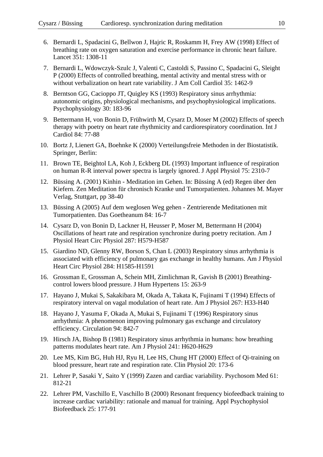- 6. Bernardi L, Spadacini G, Bellwon J, Hajric R, Roskamm H, Frey AW (1998) Effect of breathing rate on oxygen saturation and exercise performance in chronic heart failure. Lancet 351: 1308-11
- 7. Bernardi L, Wdowczyk-Szulc J, Valenti C, Castoldi S, Passino C, Spadacini G, Sleight P (2000) Effects of controlled breathing, mental activity and mental stress with or without verbalization on heart rate variability. J Am Coll Cardiol 35: 1462-9
- 8. Berntson GG, Cacioppo JT, Quigley KS (1993) Respiratory sinus arrhythmia: autonomic origins, physiological mechanisms, and psychophysiological implications. Psychophysiology 30: 183-96
- 9. Bettermann H, von Bonin D, Frühwirth M, Cysarz D, Moser M (2002) Effects of speech therapy with poetry on heart rate rhythmicity and cardiorespiratory coordination. Int J Cardiol 84: 77-88
- 10. Bortz J, Lienert GA, Boehnke K (2000) Verteilungsfreie Methoden in der Biostatistik. Springer, Berlin:
- 11. Brown TE, Beightol LA, Koh J, Eckberg DL (1993) Important influence of respiration on human R-R interval power spectra is largely ignored. J Appl Physiol 75: 2310-7
- 12. Büssing A. (2001) Kinhin Meditation im Gehen. In: Büssing A (ed) Regen über den Kiefern. Zen Meditation für chronisch Kranke und Tumorpatienten. Johannes M. Mayer Verlag, Stuttgart, pp 38-40
- 13. Büssing A (2005) Auf dem weglosen Weg gehen Zentrierende Meditationen mit Tumorpatienten. Das Goetheanum 84: 16-7
- 14. Cysarz D, von Bonin D, Lackner H, Heusser P, Moser M, Bettermann H (2004) Oscillations of heart rate and respiration synchronize during poetry recitation. Am J Physiol Heart Circ Physiol 287: H579-H587
- 15. Giardino ND, Glenny RW, Borson S, Chan L (2003) Respiratory sinus arrhythmia is associated with efficiency of pulmonary gas exchange in healthy humans. Am J Physiol Heart Circ Physiol 284: H1585-H1591
- 16. Grossman E, Grossman A, Schein MH, Zimlichman R, Gavish B (2001) Breathingcontrol lowers blood pressure. J Hum Hypertens 15: 263-9
- 17. Hayano J, Mukai S, Sakakibara M, Okada A, Takata K, Fujinami T (1994) Effects of respiratory interval on vagal modulation of heart rate. Am J Physiol 267: H33-H40
- 18. Hayano J, Yasuma F, Okada A, Mukai S, Fujinami T (1996) Respiratory sinus arrhythmia: A phenomenon improving pulmonary gas exchange and circulatory efficiency. Circulation 94: 842-7
- 19. Hirsch JA, Bishop B (1981) Respiratory sinus arrhythmia in humans: how breathing patterns modulates heart rate. Am J Physiol 241: H620-H629
- 20. Lee MS, Kim BG, Huh HJ, Ryu H, Lee HS, Chung HT (2000) Effect of Qi-training on blood pressure, heart rate and respiration rate. Clin Physiol 20: 173-6
- 21. Lehrer P, Sasaki Y, Saito Y (1999) Zazen and cardiac variability. Psychosom Med 61: 812-21
- 22. Lehrer PM, Vaschillo E, Vaschillo B (2000) Resonant frequency biofeedback training to increase cardiac variability: rationale and manual for training. Appl Psychophysiol Biofeedback 25: 177-91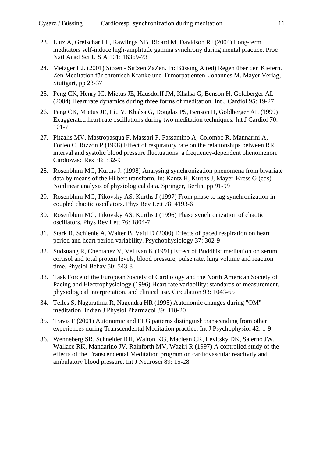- 23. Lutz A, Greischar LL, Rawlings NB, Ricard M, Davidson RJ (2004) Long-term meditators self-induce high-amplitude gamma synchrony during mental practice. Proc Natl Acad Sci U S A 101: 16369-73
- 24. Metzger HJ. (2001) Sitzen Sit!zen ZaZen. In: Büssing A (ed) Regen über den Kiefern. Zen Meditation für chronisch Kranke und Tumorpatienten. Johannes M. Mayer Verlag, Stuttgart, pp 23-37
- 25. Peng CK, Henry IC, Mietus JE, Hausdorff JM, Khalsa G, Benson H, Goldberger AL (2004) Heart rate dynamics during three forms of meditation. Int J Cardiol 95: 19-27
- 26. Peng CK, Mietus JE, Liu Y, Khalsa G, Douglas PS, Benson H, Goldberger AL (1999) Exaggerated heart rate oscillations during two meditation techniques. Int J Cardiol 70: 101-7
- 27. Pitzalis MV, Mastropasqua F, Massari F, Passantino A, Colombo R, Mannarini A, Forleo C, Rizzon P (1998) Effect of respiratory rate on the relationships between RR interval and systolic blood pressure fluctuations: a frequency-dependent phenomenon. Cardiovasc Res 38: 332-9
- 28. Rosenblum MG, Kurths J. (1998) Analysing synchronization phenomena from bivariate data by means of the Hilbert transform. In: Kantz H, Kurths J, Mayer-Kress G (eds) Nonlinear analysis of physiological data. Springer, Berlin, pp 91-99
- 29. Rosenblum MG, Pikovsky AS, Kurths J (1997) From phase to lag synchronization in coupled chaotic oscillators. Phys Rev Lett 78: 4193-6
- 30. Rosenblum MG, Pikovsky AS, Kurths J (1996) Phase synchronization of chaotic oscillators. Phys Rev Lett 76: 1804-7
- 31. Stark R, Schienle A, Walter B, Vaitl D (2000) Effects of paced respiration on heart period and heart period variability. Psychophysiology 37: 302-9
- 32. Sudsuang R, Chentanez V, Veluvan K (1991) Effect of Buddhist meditation on serum cortisol and total protein levels, blood pressure, pulse rate, lung volume and reaction time. Physiol Behav 50: 543-8
- 33. Task Force of the European Society of Cardiology and the North American Society of Pacing and Electrophysiology (1996) Heart rate variability: standards of measurement, physiological interpretation, and clinical use. Circulation 93: 1043-65
- 34. Telles S, Nagarathna R, Nagendra HR (1995) Autonomic changes during "OM" meditation. Indian J Physiol Pharmacol 39: 418-20
- 35. Travis F (2001) Autonomic and EEG patterns distinguish transcending from other experiences during Transcendental Meditation practice. Int J Psychophysiol 42: 1-9
- 36. Wenneberg SR, Schneider RH, Walton KG, Maclean CR, Levitsky DK, Salerno JW, Wallace RK, Mandarino JV, Rainforth MV, Waziri R (1997) A controlled study of the effects of the Transcendental Meditation program on cardiovascular reactivity and ambulatory blood pressure. Int J Neurosci 89: 15-28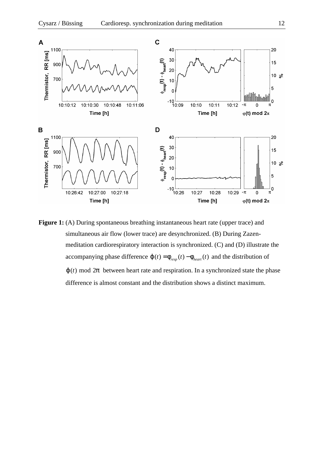

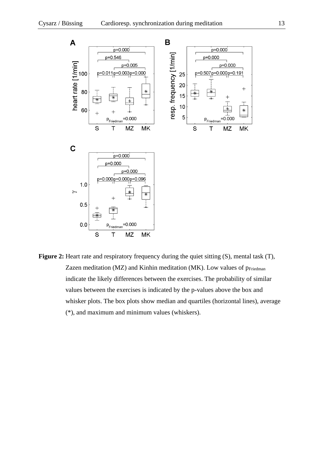

**Figure 2:** Heart rate and respiratory frequency during the quiet sitting (S), mental task (T), Zazen meditation (MZ) and Kinhin meditation (MK). Low values of  $p_{\text{Friedman}}$ indicate the likely differences between the exercises. The probability of similar values between the exercises is indicated by the p-values above the box and whisker plots. The box plots show median and quartiles (horizontal lines), average (\*), and maximum and minimum values (whiskers).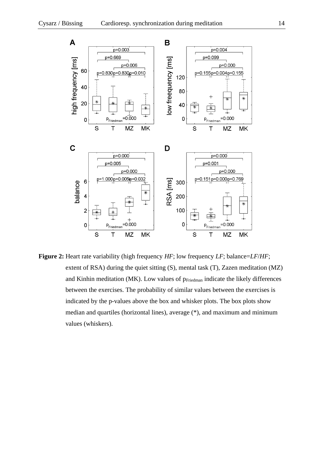

**Figure 2:** Heart rate variability (high frequency *HF*; low frequency *LF*; balance=*LF*/*HF*; extent of RSA) during the quiet sitting (S), mental task (T), Zazen meditation (MZ) and Kinhin meditation (MK). Low values of  $p_{\text{Friedman}}$  indicate the likely differences between the exercises. The probability of similar values between the exercises is indicated by the p-values above the box and whisker plots. The box plots show median and quartiles (horizontal lines), average (\*), and maximum and minimum values (whiskers).